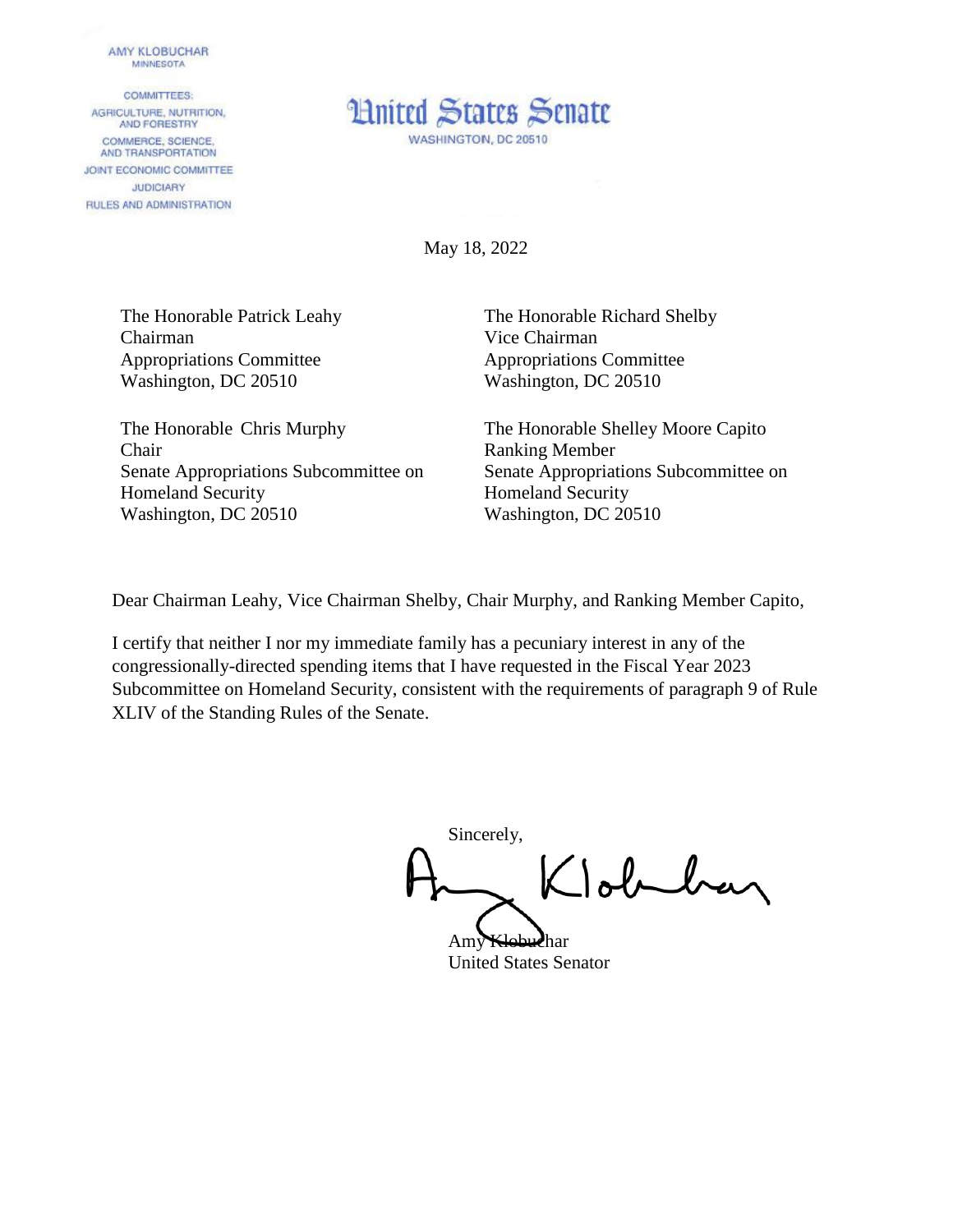## AMY KLOBUCHAR **MINNESOTA**

**COMMITTEES:** AGRICULTURE, NUTRITION, AND FORESTRY COMMERCE, SCIENCE. AND TRANSPORTATION JOINT ECONOMIC COMMITTEE **JUDICIARY** RULES AND ADMINISTRATION



May 18, 2022

The Honorable Patrick Leahy Chairman Appropriations Committee Washington, DC 20510

The Honorable Chris Murphy Chair Senate Appropriations Subcommittee on Homeland Security Washington, DC 20510

The Honorable Richard Shelby Vice Chairman Appropriations Committee Washington, DC 20510

The Honorable Shelley Moore Capito Ranking Member Senate Appropriations Subcommittee on Homeland Security Washington, DC 20510

Dear Chairman Leahy, Vice Chairman Shelby, Chair Murphy, and Ranking Member Capito,

I certify that neither I nor my immediate family has a pecuniary interest in any of the congressionally-directed spending items that I have requested in the Fiscal Year 2023 Subcommittee on Homeland Security, consistent with the requirements of paragraph 9 of Rule XLIV of the Standing Rules of the Senate.

Sincerely, Johnhar

Amy Klobuchar United States Senator